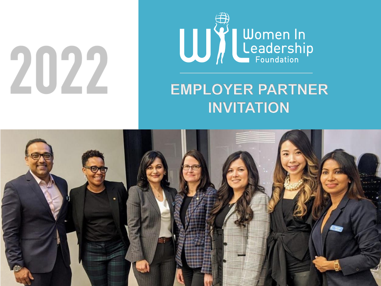# 2022



# **EMPLOYER PARTNER INVITATION**

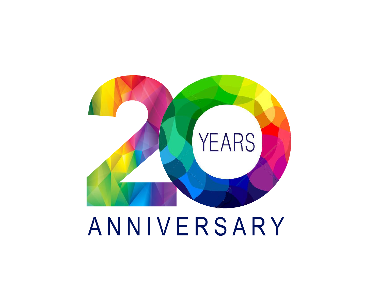

# ANNIVERSARY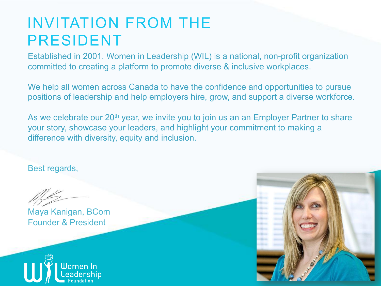#### INVITATION FROM THE PRESIDENT

Established in 2001, Women in Leadership (WIL) is a national, non-profit organization committed to creating a platform to promote diverse & inclusive workplaces.

We help all women across Canada to have the confidence and opportunities to pursue positions of leadership and help employers hire, grow, and support a diverse workforce.

As we celebrate our 20<sup>th</sup> year, we invite you to join us an an Employer Partner to share your story, showcase your leaders, and highlight your commitment to making a difference with diversity, equity and inclusion.

Best regards,

Maya Kanigan, BCom Founder & President



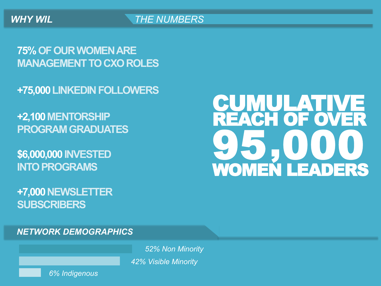**75% OF OUR WOMEN ARE MANAGEMENT TO CXO ROLES** 

**+75,000 LINKEDIN FOLLOWERS** 

**+2,100 MENTORSHIP PROGRAM GRADUATES** 

**\$6,000,000 INVESTED INTO PROGRAMS** 

**+7,000 NEWSLETTER SUBSCRIBERS** 

#### **CUMULATIVE** REACH OF OVER WOMEN LEADERS 95 000 ,

*NETWORK DEMOGRAPHICS* 

*52% Non Minority 42% Visible Minority* 

*6% Indigenous*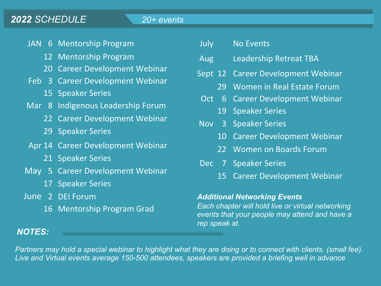#### *2022 SCHEDULE 20+ events*

- JAN 6 Mentorship Program
	- 12 Mentorship Program
	- 20 Career Development Webinar
- Feb 3 Career Development Webinar
	- 15 Speaker Series
- Mar 8 Indigenous Leadership Forum
	- 22 Career Development Webinar
	- 29 Speaker Series
- Apr 14 Career Development Webinar
	- 21 Speaker Series
- May 5 Career Development Webinar
	- 17 Speaker Series
- June 2 DEI Forum
	- 16 Mentorship Program Grad

| July       |    | <b>No Events</b>                   |
|------------|----|------------------------------------|
| Aug        |    | Leadership Retreat TBA             |
|            |    | Sept 12 Career Development Webinar |
|            | 29 | Women in Real Estate Forum         |
| Oct        |    | 6 Career Development Webinar       |
|            | 19 | <b>Speaker Series</b>              |
| Nov 3      |    | <b>Speaker Series</b>              |
|            |    | 10 Career Development Webinar      |
|            | 22 | <b>Women on Boards Forum</b>       |
| <b>Dec</b> |    | 7 Speaker Series                   |
|            | 15 | <b>Career Development Webinar</b>  |
|            |    |                                    |

#### *Additional Networking Events*

*Each chapter will hold live or virtual networking events that your people may attend and have a rep speak at.* 

#### *NOTES:*

*Partners may hold a special webinar to highlight what they are doing or to connect with clients. (small fee). Live and Virtual events average 150-500 attendees, speakers are provided a briefing well in advance*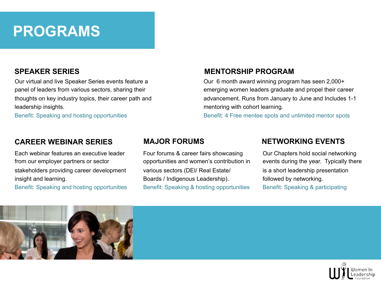#### **PROGRAMS**

#### **SPEAKER SERIES**

Our virtual and live Speaker Series events feature a panel of leaders from various sectors, sharing their thoughts on key industry topics, their career path and leadership insights.

Benefit: Speaking and hosting opportunities

#### **CAREER WEBINAR SERIES**

Each webinar features an executive leader from our employer partners or sector stakeholders providing career development insight and learning.

Benefit: Speaking and hosting opportunities

#### **MENTORSHIP PROGRAM**

Our 6 month award winning program has seen 2,000+ emerging women leaders graduate and propel their career advancement. Runs from January to June and Includes 1-1 mentoring with cohort learning.

Benefit: 4 Free mentee spots and unlimited mentor spots

Four forums & career fairs showcasing opportunities and women's contribution in various sectors (DEI/ Real Estate/ Boards / Indigenous Leadership). Benefit: Speaking & hosting opportunities

# **MAJOR FORUMS NETWORKING EVENTS**

Our Chapters hold social networking events during the year. Typically there is a short leadership presentation followed by networking. Benefit: Speaking & participating



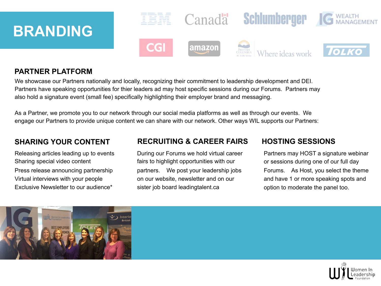# **BRANDING**



#### **PARTNER PLATFORM**

We showcase our Partners nationally and locally, recognizing their commitment to leadership development and DEI. Partners have speaking opportunities for thier leaders ad may host specific sessions during our Forums. Partners may also hold a signature event (small fee) specifically highlighting their employer brand and messaging.

As a Partner, we promote you to our network through our social media platforms as well as through our events. We engage our Partners to provide unique content we can share with our network. Other ways WIL supports our Partners:

Releasing articles leading up to events Sharing special video content Press release announcing partnership Virtual interviews with your people Exclusive Newsletter to our audience\*

#### **RECRUITING & CAREER FAIRS HOSTING SESSIONS SHARING YOUR CONTENT**<br> **RECRUITING & CAREER FAIR:**<br>
During our Forums we hold virtual career

fairs to highlight opportunities with our partners. We post your leadership jobs on our website, newsletter and on our sister job board leadingtalent.ca

Partners may HOST a signature webinar or sessions during one of our full day Forums. As Host, you select the theme and have 1 or more speaking spots and option to moderate the panel too.



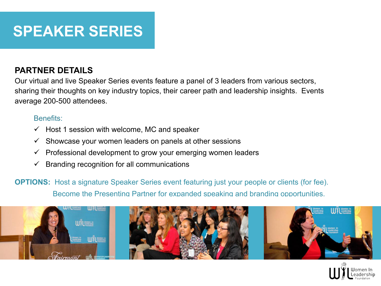# **SPEAKER SERIES**

#### **PARTNER DETAILS**

Our virtual and live Speaker Series events feature a panel of 3 leaders from various sectors, sharing their thoughts on key industry topics, their career path and leadership insights. Events average 200-500 attendees.

#### Benefits:

- $\checkmark$  Host 1 session with welcome, MC and speaker
- $\checkmark$  Showcase your women leaders on panels at other sessions
- $\checkmark$  Professional development to grow your emerging women leaders
- $\checkmark$  Branding recognition for all communications
- **OPTIONS:** Host a signature Speaker Series event featuring just your people or clients (for fee). Become the Presenting Partner for expanded speaking and branding opportunities.



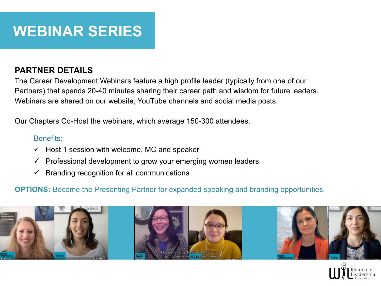# **WEBINAR SERIES**

#### **PARTNER DETAILS**

The Career Development Webinars feature a high profile leader (typically from one of our Partners) that spends 20-40 minutes sharing their career path and wisdom for future leaders. Webinars are shared on our website, YouTube channels and social media posts.

Our Chapters Co-Host the webinars, which average 150-300 attendees.

#### Benefits:

- $\checkmark$  Host 1 session with welcome, MC and speaker
- $\checkmark$  Professional development to grow your emerging women leaders
- $\checkmark$  Branding recognition for all communications

**OPTIONS:** Become the Presenting Partner for expanded speaking and branding opportunities.



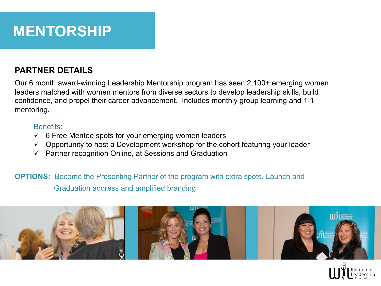

#### **PARTNER DETAILS**

Our 6 month award-winning Leadership Mentorship program has seen 2,100+ emerging women leaders matched with women mentors from diverse sectors to develop leadership skills, build confidence, and propel their career advancement. Includes monthly group learning and 1-1 mentoring.

#### Benefits:

- $\checkmark$  6 Free Mentee spots for your emerging women leaders
- $\checkmark$  Opportunity to host a Development workshop for the cohort featuring your leader
- $\checkmark$  Partner recognition Online, at Sessions and Graduation

**OPTIONS:** Become the Presenting Partner of the program with extra spots, Launch and Graduation address and amplified branding.



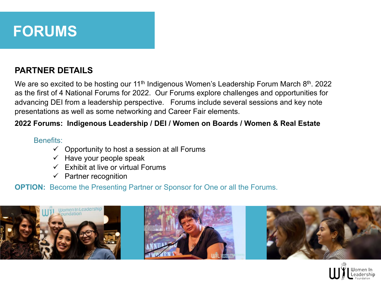

#### **PARTNER DETAILS**

We are so excited to be hosting our 11<sup>th</sup> Indigenous Women's Leadership Forum March 8<sup>th</sup>. 2022 as the first of 4 National Forums for 2022. Our Forums explore challenges and opportunities for advancing DEI from a leadership perspective. Forums include several sessions and key note presentations as well as some networking and Career Fair elements.

#### **2022 Forums: Indigenous Leadership / DEI / Women on Boards / Women & Real Estate**

#### Benefits:

- $\checkmark$  Opportunity to host a session at all Forums
- $\checkmark$  Have your people speak
- $\checkmark$  Exhibit at live or virtual Forums
- $\checkmark$  Partner recognition

**OPTION:** Become the Presenting Partner or Sponsor for One or all the Forums.



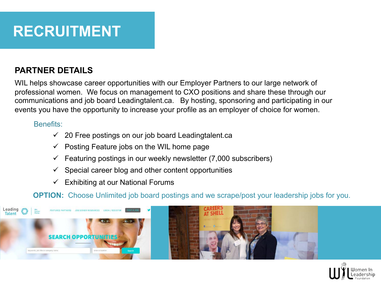

#### **PARTNER DETAILS**

WIL helps showcase career opportunities with our Employer Partners to our large network of professional women. We focus on management to CXO positions and share these through our communications and job board Leadingtalent.ca. By hosting, sponsoring and participating in our events you have the opportunity to increase your profile as an employer of choice for women.

#### Benefits:

- $\checkmark$  20 Free postings on our job board Leadingtalent.ca
- $\checkmark$  Posting Feature jobs on the WIL home page
- Featuring postings in our weekly newsletter (7,000 subscribers)
- $\checkmark$  Special career blog and other content opportunities
- $\checkmark$  Exhibiting at our National Forums

**OPTION:** Choose Unlimited job board postings and we scrape/post your leadership jobs for you.



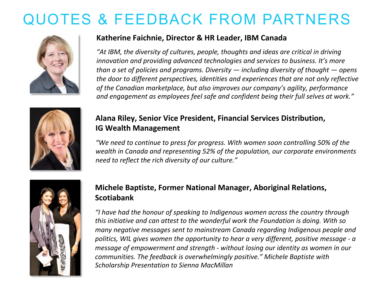# QUOTES & FEEDBACK FROM PARTNERS



#### **Katherine Faichnie, Director & HR Leader, IBM Canada**

"At IBM, the diversity of cultures, people, thoughts and ideas are critical in driving *innovation and providing advanced technologies and services to business. It's more than* a set of policies and programs. Diversity — including diversity of thought — opens the door to different perspectives, identities and experiences that are not only reflective of the Canadian marketplace, but also improves our company's agility, performance and engagement as employees feel safe and confident being their full selves at work."



#### **Alana Riley, Senior Vice President, Financial Services Distribution, IG Wealth Management**

"We need to continue to press for progress. With women soon controlling 50% of the wealth in Canada and representing 52% of the population, our corporate environments *need to reflect the rich diversity of our culture."* 



#### **Michele Baptiste, Former National Manager, Aboriginal Relations, Scotiabank**

*"I have had the honour of speaking to Indigenous women across the country through this initiative and can attest to the wonderful work the Foundation is doing. With so many negative messages sent to mainstream Canada regarding Indigenous people and* politics, WIL gives women the opportunity to hear a very different, positive message - a *message of empowerment and strength - without losing our identity as women in our communities. The feedback is overwhelmingly positive."* Michele Baptiste with **Scholarship Presentation to Sienna MacMillan**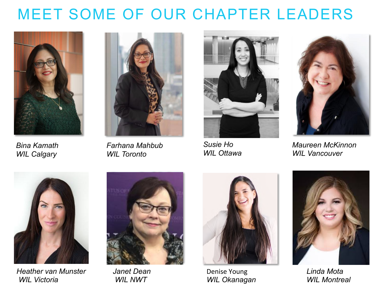#### MEET SOME OF OUR CHAPTER LEADERS



*Bina Kamath WIL Calgary*



*Farhana Mahbub WIL Toronto*



*Susie Ho WIL Ottawa*



*Maureen McKinnon WIL Vancouver*



*Heather van Munster WIL Victoria*



*Janet Dean WIL NWT* 



Denise Young *WIL Okanagan*



*Linda Mota WIL Montreal*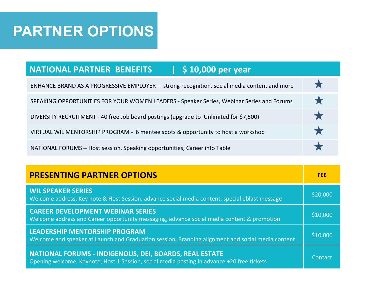#### **PARTNER OPTIONS**

#### **NATIONAL PARTNER BENEFITS | \$10,000 per year**

| ENHANCE BRAND AS A PROGRESSIVE EMPLOYER - strong recognition, social media content and more |          |
|---------------------------------------------------------------------------------------------|----------|
| SPEAKING OPPORTUNITIES FOR YOUR WOMEN LEADERS - Speaker Series, Webinar Series and Forums   | <b>X</b> |
| DIVERSITY RECRUITMENT - 40 free Job board postings (upgrade to Unlimited for \$7,500)       |          |
| VIRTUAL WIL MENTORSHIP PROGRAM - 6 mentee spots & opportunity to host a workshop            |          |
| NATIONAL FORUMS - Host session, Speaking opportunities, Career info Table                   |          |

| <b>PRESENTING PARTNER OPTIONS</b>                                                                                                                           | <b>FEE</b> |
|-------------------------------------------------------------------------------------------------------------------------------------------------------------|------------|
| <b>WIL SPEAKER SERIES</b><br>Welcome address, Key note & Host Session, advance social media content, special eblast message                                 | \$20,000   |
| <b>CAREER DEVELOPMENT WEBINAR SERIES</b><br>Welcome address and Career opportunity messaging, advance social media content & promotion                      | \$10,000   |
| LEADERSHIP MENTORSHIP PROGRAM<br>Welcome and speaker at Launch and Graduation session, Branding alignment and social media content                          | \$10,000   |
| <b>NATIONAL FORUMS - INDIGENOUS, DEI, BOARDS, REAL ESTATE</b><br>Opening welcome, Keynote, Host 1 Session, social media posting in advance +20 free tickets | Contact    |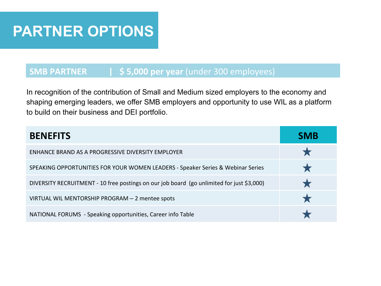#### **PARTNER OPTIONS**

#### **SMB PARTNER | \$5,000 per year** (under 300 employees)

In recognition of the contribution of Small and Medium sized employers to the economy and shaping emerging leaders, we offer SMB employers and opportunity to use WIL as a platform to build on their business and DEI portfolio.

| <b>BENEFITS</b>                                                                           | <b>SMB</b> |
|-------------------------------------------------------------------------------------------|------------|
| ENHANCE BRAND AS A PROGRESSIVE DIVERSITY EMPLOYER                                         |            |
| SPEAKING OPPORTUNITIES FOR YOUR WOMEN LEADERS - Speaker Series & Webinar Series           |            |
| DIVERSITY RECRUITMENT - 10 free postings on our job board (go unlimited for just \$3,000) |            |
| VIRTUAL WIL MENTORSHIP PROGRAM - 2 mentee spots                                           |            |
| NATIONAL FORUMS - Speaking opportunities, Career info Table                               |            |